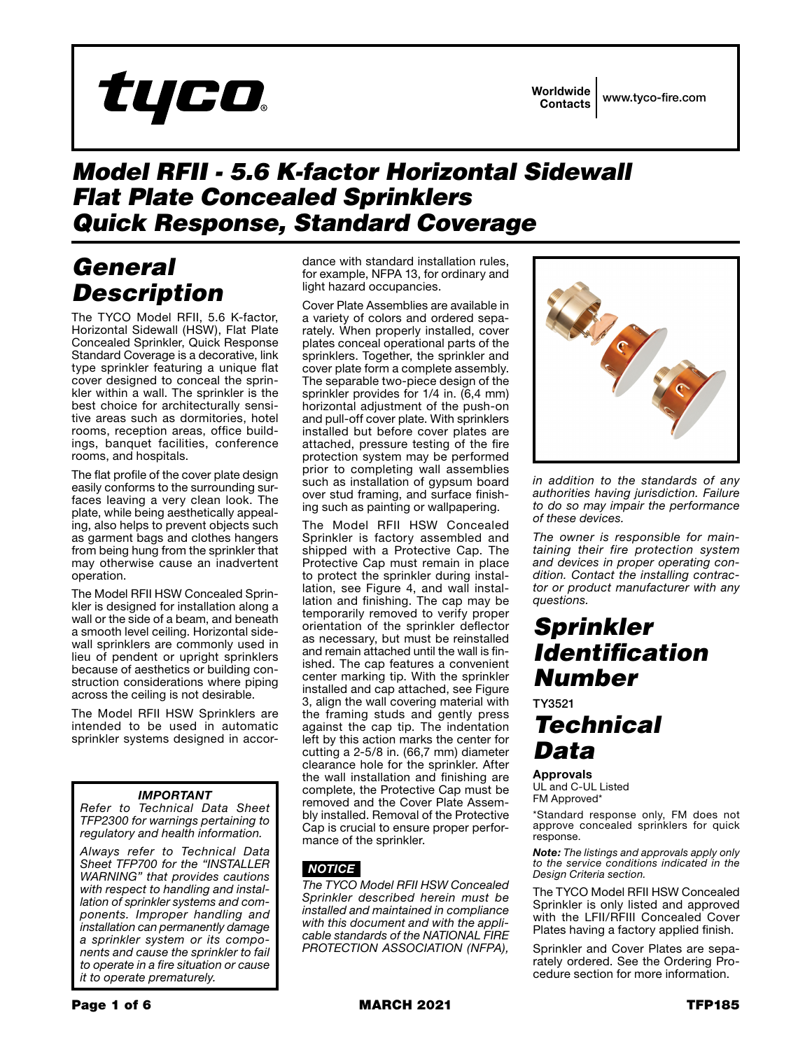# tyco

## *Model RFII - 5.6 K-factor Horizontal Sidewall Flat Plate Concealed Sprinklers Quick Response, Standard Coverage*

# *General Description*

The TYCO Model RFII, 5.6 K-factor, Horizontal Sidewall (HSW), Flat Plate Concealed Sprinkler, Quick Response Standard Coverage is a decorative, link type sprinkler featuring a unique flat cover designed to conceal the sprinkler within a wall. The sprinkler is the best choice for architecturally sensitive areas such as dormitories, hotel rooms, reception areas, office buildings, banquet facilities, conference rooms, and hospitals.

The flat profile of the cover plate design easily conforms to the surrounding surfaces leaving a very clean look. The plate, while being aesthetically appealing, also helps to prevent objects such as garment bags and clothes hangers from being hung from the sprinkler that may otherwise cause an inadvertent operation.

The Model RFII HSW Concealed Sprinkler is designed for installation along a wall or the side of a beam, and beneath a smooth level ceiling. Horizontal sidewall sprinklers are commonly used in lieu of pendent or upright sprinklers because of aesthetics or building construction considerations where piping across the ceiling is not desirable.

The Model RFII HSW Sprinklers are intended to be used in automatic sprinkler systems designed in accor-

## *IMPORTANT*

*Refer to Technical Data Sheet TFP2300 for warnings pertaining to regulatory and health information.*

*Always refer to Technical Data Sheet TFP700 for the "INSTALLER WARNING" that provides cautions with respect to handling and installation of sprinkler systems and components. Improper handling and installation can permanently damage a sprinkler system or its components and cause the sprinkler to fail to operate in a fire situation or cause it to operate prematurely.*

dance with standard installation rules, for example, NFPA 13, for ordinary and light hazard occupancies.

Cover Plate Assemblies are available in a variety of colors and ordered separately. When properly installed, cover plates conceal operational parts of the sprinklers. Together, the sprinkler and cover plate form a complete assembly. The separable two-piece design of the sprinkler provides for 1/4 in. (6,4 mm) horizontal adjustment of the push-on and pull-off cover plate. With sprinklers installed but before cover plates are attached, pressure testing of the fire protection system may be performed prior to completing wall assemblies such as installation of gypsum board over stud framing, and surface finishing such as painting or wallpapering.

The Model RFII HSW Concealed Sprinkler is factory assembled and shipped with a Protective Cap. The Protective Cap must remain in place to protect the sprinkler during installation, see Figure 4, and wall installation and finishing. The cap may be temporarily removed to verify proper orientation of the sprinkler deflector as necessary, but must be reinstalled and remain attached until the wall is finished. The cap features a convenient center marking tip. With the sprinkler installed and cap attached, see Figure 3, align the wall covering material with the framing studs and gently press against the cap tip. The indentation left by this action marks the center for cutting a 2-5/8 in. (66,7 mm) diameter clearance hole for the sprinkler. After the wall installation and finishing are complete, the Protective Cap must be removed and the Cover Plate Assembly installed. Removal of the Protective Cap is crucial to ensure proper performance of the sprinkler.

## *NOTICE*

*The TYCO Model RFII HSW Concealed Sprinkler described herein must be installed and maintained in compliance with this document and with the applicable standards of the NATIONAL FIRE PROTECTION ASSOCIATION (NFPA),* 



*in addition to the standards of any authorities having jurisdiction. Failure to do so may impair the performance of these devices.*

*The owner is responsible for maintaining their fire protection system and devices in proper operating condition. Contact the installing contractor or product manufacturer with any questions.*

## *Sprinkler Identification Number*

TY3521

# *Technical Data*

Approvals UL and C-UL Listed FM Approved\*

\*Standard response only, FM does not approve concealed sprinklers for quick response.

*Note: The listings and approvals apply only to the service conditions indicated in the Design Criteria section.*

The TYCO Model RFII HSW Concealed Sprinkler is only listed and approved with the LFII/RFIII Concealed Cover Plates having a factory applied finish.

Sprinkler and Cover Plates are separately ordered. See the Ordering Procedure section for more information.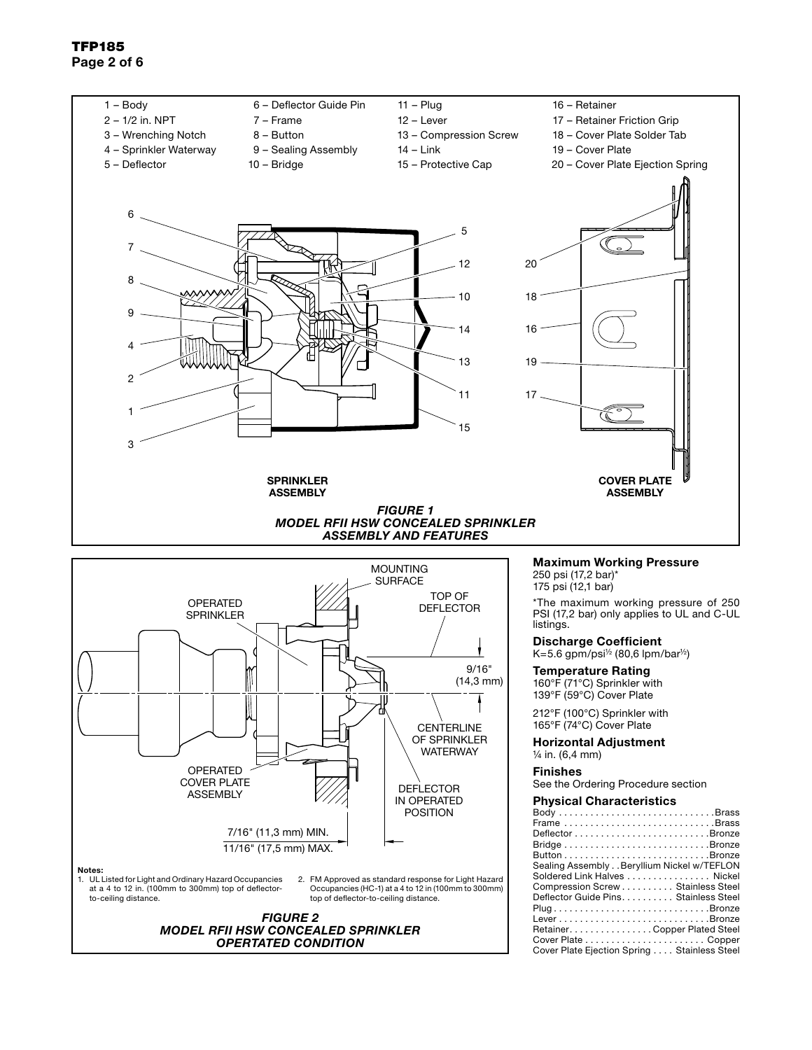## TFP185 Page 2 of 6



**WATERWAY** 

POSITION

Horizontal Adjustment ¼ in. (6,4 mm)

#### Finishes

See the Ordering Procedure section

#### Physical Characteristics

| Body Brass                                  |
|---------------------------------------------|
|                                             |
|                                             |
|                                             |
|                                             |
| Sealing Assembly Beryllium Nickel w/TEFLON  |
| Soldered Link Halves Nickel                 |
| Compression Screw Stainless Steel           |
| Deflector Guide Pins. Stainless Steel       |
| PlugBronze                                  |
| LeverBronze                                 |
| Retainer. Copper Plated Steel               |
|                                             |
| Cover Plate Ejection Spring Stainless Steel |
|                                             |

Notes: 1. UL Listed for Light and Ordinary Hazard Occupancies at a 4 to 12 in. (100mm to 300mm) top of deflectorto-ceiling distance. 2. FM Approved as standard response for Light Hazard Occupancies (HC-1) at a 4 to 12 in (100mm to 300mm) top of deflector-to-ceiling distance. OPERATED COVER PLATE ASSEMBLY **DEFLECTOR** IN OPERATED 7/16" (11,3 mm) MIN. 11/16" (17,5 mm) MAX. *FIGURE 2*

*MODEL RFII HSW CONCEALED SPRINKLER OPERTATED CONDITION*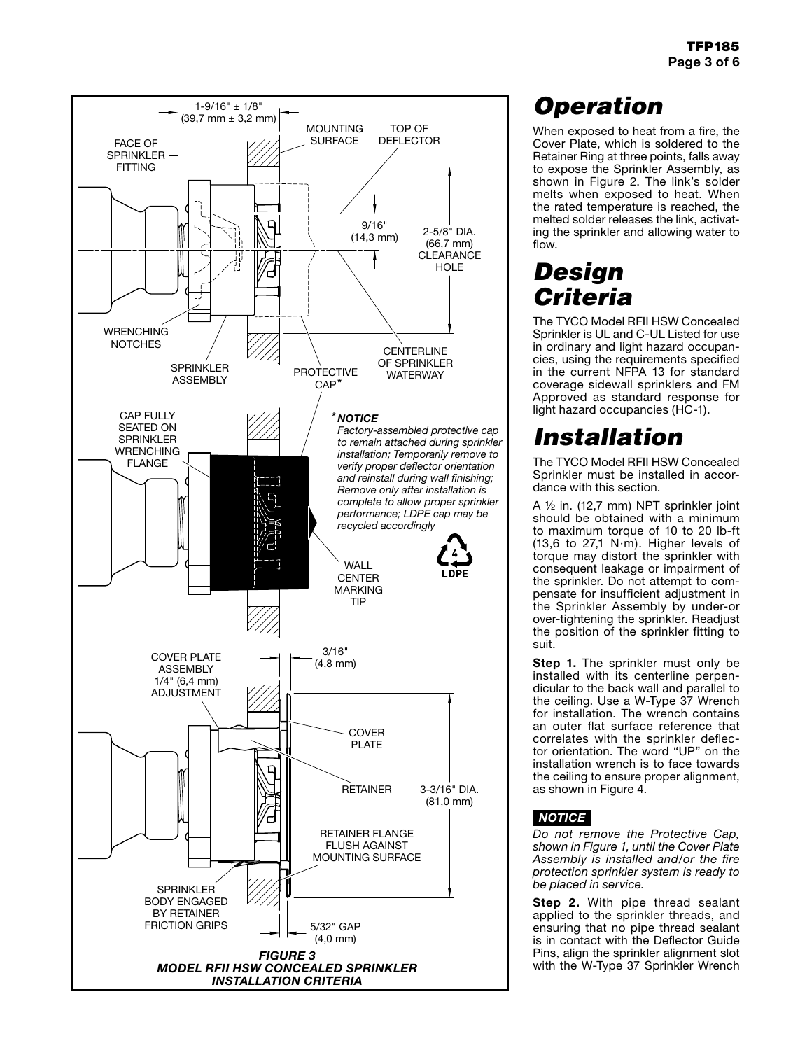

# *Operation*

When exposed to heat from a fire, the Cover Plate, which is soldered to the Retainer Ring at three points, falls away to expose the Sprinkler Assembly, as shown in Figure 2. The link's solder melts when exposed to heat. When the rated temperature is reached, the melted solder releases the link, activating the sprinkler and allowing water to flow.

# *Design Criteria*

The TYCO Model RFII HSW Concealed Sprinkler is UL and C-UL Listed for use in ordinary and light hazard occupancies, using the requirements specified in the current NFPA 13 for standard coverage sidewall sprinklers and FM Approved as standard response for light hazard occupancies (HC-1).

# *Installation*

The TYCO Model RFII HSW Concealed Sprinkler must be installed in accordance with this section.

A ½ in. (12,7 mm) NPT sprinkler joint should be obtained with a minimum to maximum torque of 10 to 20 lb-ft (13,6 to 27,1 N·m). Higher levels of torque may distort the sprinkler with consequent leakage or impairment of the sprinkler. Do not attempt to compensate for insufficient adjustment in the Sprinkler Assembly by under-or over-tightening the sprinkler. Readjust the position of the sprinkler fitting to suit.

Step 1. The sprinkler must only be installed with its centerline perpendicular to the back wall and parallel to the ceiling. Use a W-Type 37 Wrench for installation. The wrench contains an outer flat surface reference that correlates with the sprinkler deflector orientation. The word "UP" on the installation wrench is to face towards the ceiling to ensure proper alignment, as shown in Figure 4.

## *NOTICE*

*Do not remove the Protective Cap, shown in Figure 1, until the Cover Plate Assembly is installed and/or the fire protection sprinkler system is ready to be placed in service.*

Step 2. With pipe thread sealant applied to the sprinkler threads, and ensuring that no pipe thread sealant is in contact with the Deflector Guide Pins, align the sprinkler alignment slot with the W-Type 37 Sprinkler Wrench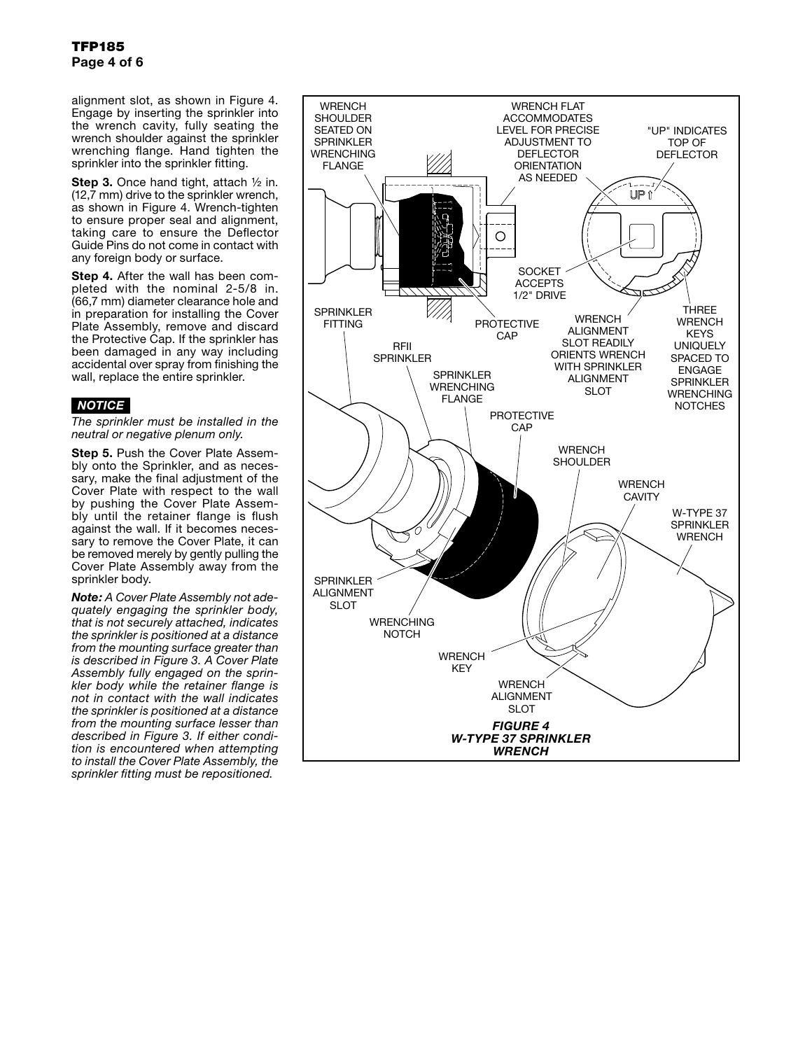alignment slot, as shown in Figure 4. Engage by inserting the sprinkler into the wrench cavity, fully seating the wrench shoulder against the sprinkler wrenching flange. Hand tighten the sprinkler into the sprinkler fitting.

Step 3. Once hand tight, attach 1/2 in. (12,7 mm) drive to the sprinkler wrench, as shown in Figure 4. Wrench-tighten to ensure proper seal and alignment, taking care to ensure the Deflector Guide Pins do not come in contact with any foreign body or surface.

Step 4. After the wall has been completed with the nominal 2-5/8 in. (66,7 mm) diameter clearance hole and in preparation for installing the Cover Plate Assembly, remove and discard the Protective Cap. If the sprinkler has been damaged in any way including accidental over spray from finishing the wall, replace the entire sprinkler.

## *NOTICE*

*The sprinkler must be installed in the neutral or negative plenum only.*

Step 5. Push the Cover Plate Assembly onto the Sprinkler, and as necessary, make the final adjustment of the Cover Plate with respect to the wall by pushing the Cover Plate Assembly until the retainer flange is flush against the wall. If it becomes necessary to remove the Cover Plate, it can be removed merely by gently pulling the Cover Plate Assembly away from the sprinkler body.

*Note: A Cover Plate Assembly not adequately engaging the sprinkler body, that is not securely attached, indicates the sprinkler is positioned at a distance from the mounting surface greater than is described in Figure 3. A Cover Plate Assembly fully engaged on the sprinkler body while the retainer flange is not in contact with the wall indicates the sprinkler is positioned at a distance from the mounting surface lesser than described in Figure 3. If either condition is encountered when attempting to install the Cover Plate Assembly, the sprinkler fitting must be repositioned.*

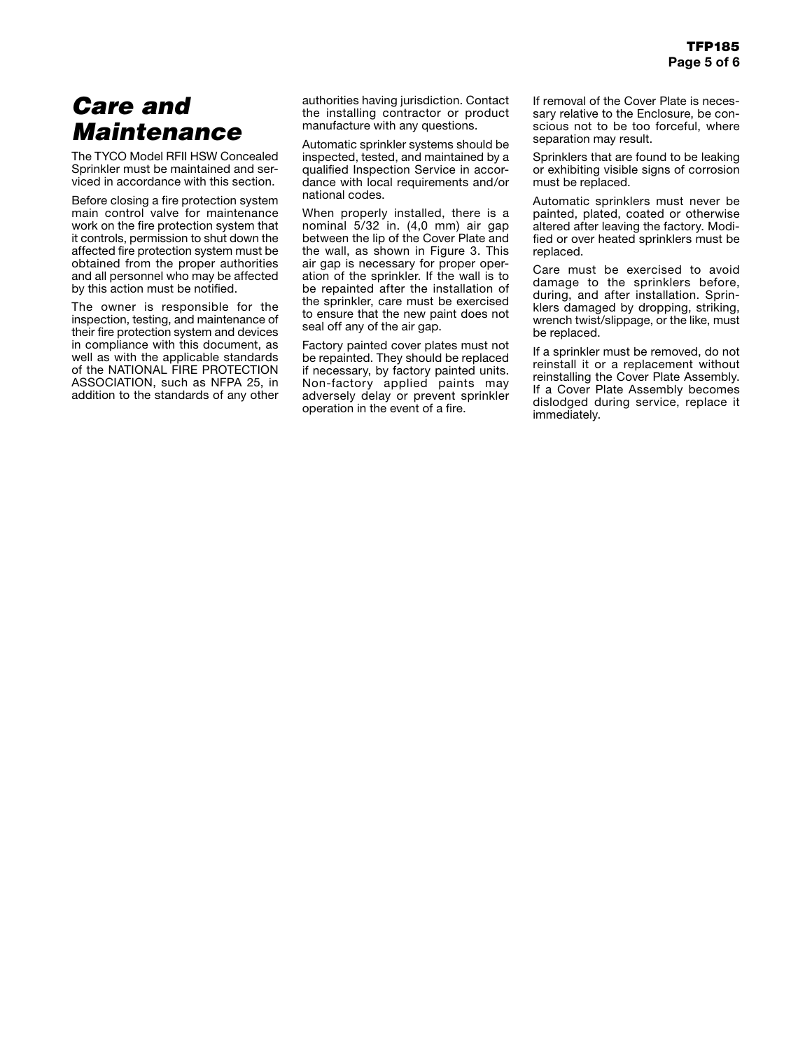# *Care and Maintenance*

The TYCO Model RFII HSW Concealed Sprinkler must be maintained and serviced in accordance with this section.

Before closing a fire protection system main control valve for maintenance work on the fire protection system that it controls, permission to shut down the affected fire protection system must be obtained from the proper authorities and all personnel who may be affected by this action must be notified.

The owner is responsible for the inspection, testing, and maintenance of their fire protection system and devices in compliance with this document, as well as with the applicable standards of the NATIONAL FIRE PROTECTION ASSOCIATION, such as NFPA 25, in addition to the standards of any other

authorities having jurisdiction. Contact the installing contractor or product manufacture with any questions.

Automatic sprinkler systems should be inspected, tested, and maintained by a qualified Inspection Service in accordance with local requirements and/or national codes.

When properly installed, there is a nominal 5/32 in. (4,0 mm) air gap between the lip of the Cover Plate and the wall, as shown in Figure 3. This air gap is necessary for proper operation of the sprinkler. If the wall is to be repainted after the installation of the sprinkler, care must be exercised to ensure that the new paint does not seal off any of the air gap.

Factory painted cover plates must not be repainted. They should be replaced if necessary, by factory painted units. Non-factory applied paints may adversely delay or prevent sprinkler operation in the event of a fire.

If removal of the Cover Plate is necessary relative to the Enclosure, be conscious not to be too forceful, where separation may result.

Sprinklers that are found to be leaking or exhibiting visible signs of corrosion must be replaced.

Automatic sprinklers must never be painted, plated, coated or otherwise altered after leaving the factory. Modified or over heated sprinklers must be replaced.

Care must be exercised to avoid damage to the sprinklers before, during, and after installation. Sprinklers damaged by dropping, striking, wrench twist/slippage, or the like, must be replaced.

If a sprinkler must be removed, do not reinstall it or a replacement without reinstalling the Cover Plate Assembly. If a Cover Plate Assembly becomes dislodged during service, replace it immediately.